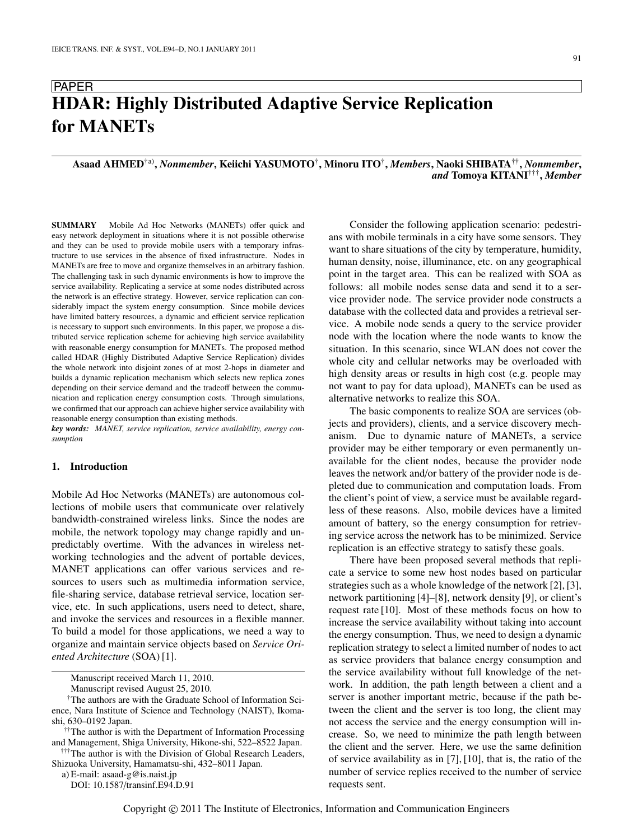# PAPER **HDAR: Highly Distributed Adaptive Service Replication for MANETs**

**Asaad AHMED**†a)**,** *Nonmember***, Keiichi YASUMOTO**†**, Minoru ITO**†**,** *Members***, Naoki SHIBATA**††**,** *Nonmember***,** *and* **Tomoya KITANI**†††**,** *Member*

**SUMMARY** Mobile Ad Hoc Networks (MANETs) offer quick and easy network deployment in situations where it is not possible otherwise and they can be used to provide mobile users with a temporary infrastructure to use services in the absence of fixed infrastructure. Nodes in MANETs are free to move and organize themselves in an arbitrary fashion. The challenging task in such dynamic environments is how to improve the service availability. Replicating a service at some nodes distributed across the network is an effective strategy. However, service replication can considerably impact the system energy consumption. Since mobile devices have limited battery resources, a dynamic and efficient service replication is necessary to support such environments. In this paper, we propose a distributed service replication scheme for achieving high service availability with reasonable energy consumption for MANETs. The proposed method called HDAR (Highly Distributed Adaptive Service Replication) divides the whole network into disjoint zones of at most 2-hops in diameter and builds a dynamic replication mechanism which selects new replica zones depending on their service demand and the tradeoff between the communication and replication energy consumption costs. Through simulations, we confirmed that our approach can achieve higher service availability with reasonable energy consumption than existing methods.

*key words: MANET, service replication, service availability, energy consumption*

# **1. Introduction**

Mobile Ad Hoc Networks (MANETs) are autonomous collections of mobile users that communicate over relatively bandwidth-constrained wireless links. Since the nodes are mobile, the network topology may change rapidly and unpredictably overtime. With the advances in wireless networking technologies and the advent of portable devices, MANET applications can offer various services and resources to users such as multimedia information service, file-sharing service, database retrieval service, location service, etc. In such applications, users need to detect, share, and invoke the services and resources in a flexible manner. To build a model for those applications, we need a way to organize and maintain service objects based on *Service Oriented Architecture* (SOA) [1].

Consider the following application scenario: pedestrians with mobile terminals in a city have some sensors. They want to share situations of the city by temperature, humidity, human density, noise, illuminance, etc. on any geographical point in the target area. This can be realized with SOA as follows: all mobile nodes sense data and send it to a service provider node. The service provider node constructs a database with the collected data and provides a retrieval service. A mobile node sends a query to the service provider node with the location where the node wants to know the situation. In this scenario, since WLAN does not cover the whole city and cellular networks may be overloaded with high density areas or results in high cost (e.g. people may not want to pay for data upload), MANETs can be used as alternative networks to realize this SOA.

The basic components to realize SOA are services (objects and providers), clients, and a service discovery mechanism. Due to dynamic nature of MANETs, a service provider may be either temporary or even permanently unavailable for the client nodes, because the provider node leaves the network and/or battery of the provider node is depleted due to communication and computation loads. From the client's point of view, a service must be available regardless of these reasons. Also, mobile devices have a limited amount of battery, so the energy consumption for retrieving service across the network has to be minimized. Service replication is an effective strategy to satisfy these goals.

There have been proposed several methods that replicate a service to some new host nodes based on particular strategies such as a whole knowledge of the network [2], [3], network partitioning [4]–[8], network density [9], or client's request rate [10]. Most of these methods focus on how to increase the service availability without taking into account the energy consumption. Thus, we need to design a dynamic replication strategy to select a limited number of nodes to act as service providers that balance energy consumption and the service availability without full knowledge of the network. In addition, the path length between a client and a server is another important metric, because if the path between the client and the server is too long, the client may not access the service and the energy consumption will increase. So, we need to minimize the path length between the client and the server. Here, we use the same definition of service availability as in [7], [10], that is, the ratio of the number of service replies received to the number of service requests sent.

Manuscript received March 11, 2010.

Manuscript revised August 25, 2010.

<sup>†</sup>The authors are with the Graduate School of Information Science, Nara Institute of Science and Technology (NAIST), Ikomashi, 630–0192 Japan.

<sup>&</sup>lt;sup>††</sup>The author is with the Department of Information Processing and Management, Shiga University, Hikone-shi, 522–8522 Japan.

<sup>&</sup>lt;sup>†††</sup>The author is with the Division of Global Research Leaders, Shizuoka University, Hamamatsu-shi, 432–8011 Japan.

a) E-mail: asaad-g@is.naist.jp

DOI: 10.1587/transinf.E94.D.91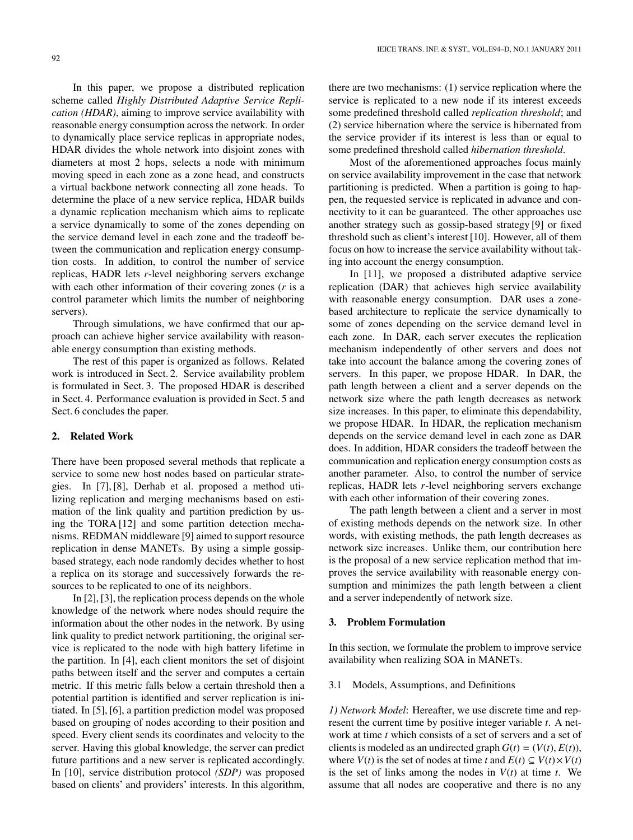In this paper, we propose a distributed replication scheme called *Highly Distributed Adaptive Service Replication (HDAR)*, aiming to improve service availability with reasonable energy consumption across the network. In order to dynamically place service replicas in appropriate nodes, HDAR divides the whole network into disjoint zones with diameters at most 2 hops, selects a node with minimum moving speed in each zone as a zone head, and constructs a virtual backbone network connecting all zone heads. To determine the place of a new service replica, HDAR builds a dynamic replication mechanism which aims to replicate a service dynamically to some of the zones depending on the service demand level in each zone and the tradeoff between the communication and replication energy consumption costs. In addition, to control the number of service replicas, HADR lets *r*-level neighboring servers exchange with each other information of their covering zones (*r* is a control parameter which limits the number of neighboring servers).

Through simulations, we have confirmed that our approach can achieve higher service availability with reasonable energy consumption than existing methods.

The rest of this paper is organized as follows. Related work is introduced in Sect. 2. Service availability problem is formulated in Sect. 3. The proposed HDAR is described in Sect. 4. Performance evaluation is provided in Sect. 5 and Sect. 6 concludes the paper.

## **2. Related Work**

There have been proposed several methods that replicate a service to some new host nodes based on particular strategies. In [7], [8], Derhab et al. proposed a method utilizing replication and merging mechanisms based on estimation of the link quality and partition prediction by using the TORA [12] and some partition detection mechanisms. REDMAN middleware [9] aimed to support resource replication in dense MANETs. By using a simple gossipbased strategy, each node randomly decides whether to host a replica on its storage and successively forwards the resources to be replicated to one of its neighbors.

In [2], [3], the replication process depends on the whole knowledge of the network where nodes should require the information about the other nodes in the network. By using link quality to predict network partitioning, the original service is replicated to the node with high battery lifetime in the partition. In [4], each client monitors the set of disjoint paths between itself and the server and computes a certain metric. If this metric falls below a certain threshold then a potential partition is identified and server replication is initiated. In [5], [6], a partition prediction model was proposed based on grouping of nodes according to their position and speed. Every client sends its coordinates and velocity to the server. Having this global knowledge, the server can predict future partitions and a new server is replicated accordingly. In [10], service distribution protocol *(SDP)* was proposed based on clients' and providers' interests. In this algorithm, there are two mechanisms: (1) service replication where the service is replicated to a new node if its interest exceeds some predefined threshold called *replication threshold*; and (2) service hibernation where the service is hibernated from the service provider if its interest is less than or equal to some predefined threshold called *hibernation threshold*.

Most of the aforementioned approaches focus mainly on service availability improvement in the case that network partitioning is predicted. When a partition is going to happen, the requested service is replicated in advance and connectivity to it can be guaranteed. The other approaches use another strategy such as gossip-based strategy [9] or fixed threshold such as client's interest [10]. However, all of them focus on how to increase the service availability without taking into account the energy consumption.

In [11], we proposed a distributed adaptive service replication (DAR) that achieves high service availability with reasonable energy consumption. DAR uses a zonebased architecture to replicate the service dynamically to some of zones depending on the service demand level in each zone. In DAR, each server executes the replication mechanism independently of other servers and does not take into account the balance among the covering zones of servers. In this paper, we propose HDAR. In DAR, the path length between a client and a server depends on the network size where the path length decreases as network size increases. In this paper, to eliminate this dependability, we propose HDAR. In HDAR, the replication mechanism depends on the service demand level in each zone as DAR does. In addition, HDAR considers the tradeoff between the communication and replication energy consumption costs as another parameter. Also, to control the number of service replicas, HADR lets *r*-level neighboring servers exchange with each other information of their covering zones.

The path length between a client and a server in most of existing methods depends on the network size. In other words, with existing methods, the path length decreases as network size increases. Unlike them, our contribution here is the proposal of a new service replication method that improves the service availability with reasonable energy consumption and minimizes the path length between a client and a server independently of network size.

# **3. Problem Formulation**

In this section, we formulate the problem to improve service availability when realizing SOA in MANETs.

#### 3.1 Models, Assumptions, and Definitions

*1) Network Model*: Hereafter, we use discrete time and represent the current time by positive integer variable *t*. A network at time *t* which consists of a set of servers and a set of clients is modeled as an undirected graph  $G(t) = (V(t), E(t)),$ where *V*(*t*) is the set of nodes at time *t* and  $E(t) \subseteq V(t) \times V(t)$ is the set of links among the nodes in *V*(*t*) at time *t*. We assume that all nodes are cooperative and there is no any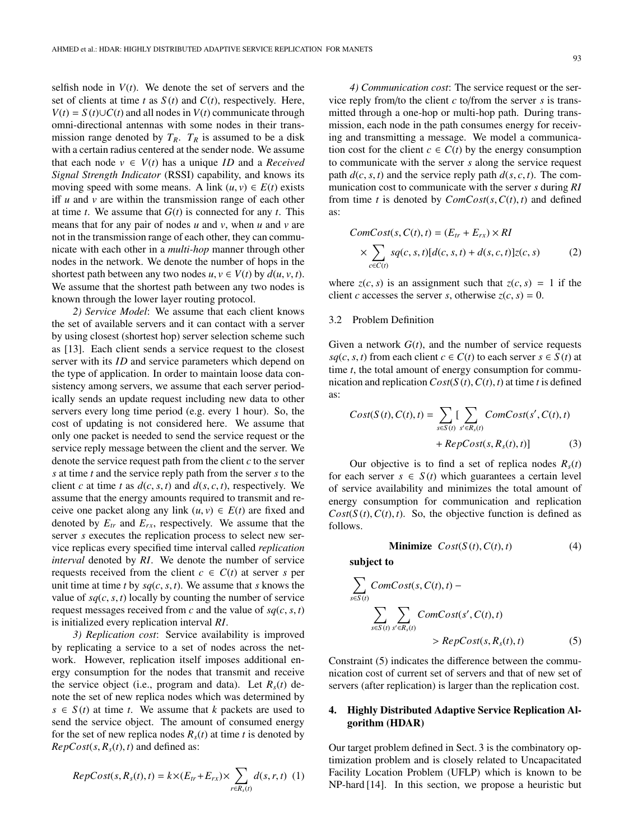selfish node in  $V(t)$ . We denote the set of servers and the set of clients at time *t* as *S* (*t*) and *C*(*t*), respectively. Here,  $V(t) = S(t) \cup C(t)$  and all nodes in  $V(t)$  communicate through omni-directional antennas with some nodes in their transmission range denoted by  $T_R$ .  $T_R$  is assumed to be a disk with a certain radius centered at the sender node. We assume that each node  $v \in V(t)$  has a unique *ID* and a *Received Signal Strength Indicator* (RSSI) capability, and knows its moving speed with some means. A link  $(u, v) \in E(t)$  exists iff *u* and *v* are within the transmission range of each other at time *t*. We assume that *G*(*t*) is connected for any *t*. This means that for any pair of nodes *u* and *v*, when *u* and *v* are not in the transmission range of each other, they can communicate with each other in a *multi-hop* manner through other nodes in the network. We denote the number of hops in the shortest path between any two nodes  $u, v \in V(t)$  by  $d(u, v, t)$ . We assume that the shortest path between any two nodes is known through the lower layer routing protocol.

*2) Service Model*: We assume that each client knows the set of available servers and it can contact with a server by using closest (shortest hop) server selection scheme such as [13]. Each client sends a service request to the closest server with its *ID* and service parameters which depend on the type of application. In order to maintain loose data consistency among servers, we assume that each server periodically sends an update request including new data to other servers every long time period (e.g. every 1 hour). So, the cost of updating is not considered here. We assume that only one packet is needed to send the service request or the service reply message between the client and the server. We denote the service request path from the client *c* to the server *s* at time *t* and the service reply path from the server *s* to the client *c* at time *t* as  $d(c, s, t)$  and  $d(s, c, t)$ , respectively. We assume that the energy amounts required to transmit and receive one packet along any link  $(u, v) \in E(t)$  are fixed and denoted by  $E_{tr}$  and  $E_{rx}$ , respectively. We assume that the server *s* executes the replication process to select new service replicas every specified time interval called *replication interval* denoted by *RI*. We denote the number of service requests received from the client  $c \in C(t)$  at server *s* per unit time at time *t* by  $sq(c, s, t)$ . We assume that *s* knows the value of  $sq(c, s, t)$  locally by counting the number of service request messages received from *c* and the value of  $sq(c, s, t)$ is initialized every replication interval *RI*.

*3) Replication cost*: Service availability is improved by replicating a service to a set of nodes across the network. However, replication itself imposes additional energy consumption for the nodes that transmit and receive the service object (i.e., program and data). Let  $R_s(t)$  denote the set of new replica nodes which was determined by  $s \in S(t)$  at time *t*. We assume that *k* packets are used to send the service object. The amount of consumed energy for the set of new replica nodes  $R_s(t)$  at time *t* is denoted by  $RepCost(s, R<sub>s</sub>(t), t)$  and defined as:

$$
RepCost(s, R_s(t), t) = k \times (E_{tr} + E_{rx}) \times \sum_{r \in R_s(t)} d(s, r, t) \tag{1}
$$

*4) Communication cost*: The service request or the service reply from/to the client *c* to/from the server *s* is transmitted through a one-hop or multi-hop path. During transmission, each node in the path consumes energy for receiving and transmitting a message. We model a communication cost for the client  $c \in C(t)$  by the energy consumption to communicate with the server *s* along the service request path  $d(c, s, t)$  and the service reply path  $d(s, c, t)$ . The communication cost to communicate with the server *s* during *RI* from time *t* is denoted by  $ComCost(s, C(t), t)$  and defined as:

$$
ComCost(s, C(t), t) = (E_{tr} + E_{rx}) \times RI
$$
  
 
$$
\times \sum_{c \in C(t)} sq(c, s, t) [d(c, s, t) + d(s, c, t)] z(c, s)
$$
 (2)

where  $z(c, s)$  is an assignment such that  $z(c, s) = 1$  if the client *c* accesses the server *s*, otherwise  $z(c, s) = 0$ .

#### 3.2 Problem Definition

Given a network  $G(t)$ , and the number of service requests *sq*(*c*, *s*, *t*) from each client  $c \in C(t)$  to each server  $s \in S(t)$  at time *t*, the total amount of energy consumption for communication and replication  $Cost(S(t), C(t), t)$  at time *t* is defined as:

$$
Cost(S(t), C(t), t) = \sum_{s \in S(t)} \sum_{s' \in R_s(t)} ComCost(s', C(t), t)
$$

$$
+ RepCost(s, R_s(t), t)] \tag{3}
$$

Our objective is to find a set of replica nodes  $R_s(t)$ for each server  $s \in S(t)$  which guarantees a certain level of service availability and minimizes the total amount of energy consumption for communication and replication  $Cost(S(t), C(t), t)$ . So, the objective function is defined as follows.

Minimize 
$$
Cost(S(t), C(t), t)
$$
 (4)

**subject to**

$$
\sum_{s \in S(t)} ComCost(s, C(t), t) -
$$
\n
$$
\sum_{s \in S(t)} \sum_{s' \in R_s(t)} ComCost(s', C(t), t)
$$
\n
$$
> RepCost(s, R_s(t), t)
$$
\n(5)

Constraint (5) indicates the difference between the communication cost of current set of servers and that of new set of servers (after replication) is larger than the replication cost.

## **4. Highly Distributed Adaptive Service Replication Algorithm (HDAR)**

Our target problem defined in Sect. 3 is the combinatory optimization problem and is closely related to Uncapacitated Facility Location Problem (UFLP) which is known to be NP-hard [14]. In this section, we propose a heuristic but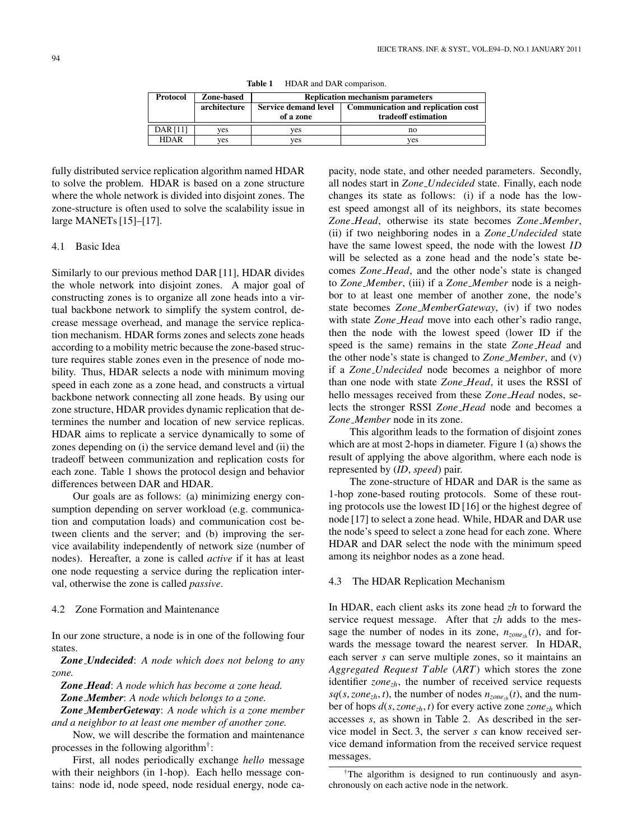**Table 1** HDAR and DAR comparison.

| Protocol    | Zone-based   | <b>Replication mechanism parameters</b>  |                                                                  |
|-------------|--------------|------------------------------------------|------------------------------------------------------------------|
|             | architecture | <b>Service demand level</b><br>of a zone | <b>Communication and replication cost</b><br>tradeoff estimation |
| DAR [11]    | ves          | ves                                      | no                                                               |
| <b>HDAR</b> | ves          | ves                                      | ves                                                              |

fully distributed service replication algorithm named HDAR to solve the problem. HDAR is based on a zone structure where the whole network is divided into disjoint zones. The zone-structure is often used to solve the scalability issue in large MANETs [15]–[17].

# 4.1 Basic Idea

Similarly to our previous method DAR [11], HDAR divides the whole network into disjoint zones. A major goal of constructing zones is to organize all zone heads into a virtual backbone network to simplify the system control, decrease message overhead, and manage the service replication mechanism. HDAR forms zones and selects zone heads according to a mobility metric because the zone-based structure requires stable zones even in the presence of node mobility. Thus, HDAR selects a node with minimum moving speed in each zone as a zone head, and constructs a virtual backbone network connecting all zone heads. By using our zone structure, HDAR provides dynamic replication that determines the number and location of new service replicas. HDAR aims to replicate a service dynamically to some of zones depending on (i) the service demand level and (ii) the tradeoff between communization and replication costs for each zone. Table 1 shows the protocol design and behavior differences between DAR and HDAR.

Our goals are as follows: (a) minimizing energy consumption depending on server workload (e.g. communication and computation loads) and communication cost between clients and the server; and (b) improving the service availability independently of network size (number of nodes). Hereafter, a zone is called *active* if it has at least one node requesting a service during the replication interval, otherwise the zone is called *passive*.

### 4.2 Zone Formation and Maintenance

In our zone structure, a node is in one of the following four states.

*Zone Undecided*: *A node which does not belong to any zone.*

*Zone Head*: *A node which has become a zone head. Zone Member*: *A node which belongs to a zone.*

*Zone MemberGeteway*: *A node which is a zone member and a neighbor to at least one member of another zone.*

Now, we will describe the formation and maintenance processes in the following algorithm†:

First, all nodes periodically exchange *hello* message with their neighbors (in 1-hop). Each hello message contains: node id, node speed, node residual energy, node ca-

pacity, node state, and other needed parameters. Secondly, all nodes start in *Zone Undecided* state. Finally, each node changes its state as follows: (i) if a node has the lowest speed amongst all of its neighbors, its state becomes *Zone Head*, otherwise its state becomes *Zone Member*, (ii) if two neighboring nodes in a *Zone Undecided* state have the same lowest speed, the node with the lowest *ID* will be selected as a zone head and the node's state becomes *Zone Head*, and the other node's state is changed to *Zone Member*, (iii) if a *Zone Member* node is a neighbor to at least one member of another zone, the node's state becomes *Zone MemberGateway*, (iv) if two nodes with state *Zone Head* move into each other's radio range, then the node with the lowest speed (lower ID if the speed is the same) remains in the state *Zone Head* and the other node's state is changed to *Zone Member*, and (v) if a *Zone Undecided* node becomes a neighbor of more than one node with state *Zone Head*, it uses the RSSI of hello messages received from these *Zone Head* nodes, selects the stronger RSSI *Zone Head* node and becomes a *Zone Member* node in its zone.

This algorithm leads to the formation of disjoint zones which are at most 2-hops in diameter. Figure 1 (a) shows the result of applying the above algorithm, where each node is represented by (*ID*, *speed*) pair.

The zone-structure of HDAR and DAR is the same as 1-hop zone-based routing protocols. Some of these routing protocols use the lowest ID [16] or the highest degree of node [17] to select a zone head. While, HDAR and DAR use the node's speed to select a zone head for each zone. Where HDAR and DAR select the node with the minimum speed among its neighbor nodes as a zone head.

#### 4.3 The HDAR Replication Mechanism

In HDAR, each client asks its zone head *zh* to forward the service request message. After that *zh* adds to the message the number of nodes in its zone,  $n_{zone_{rh}}(t)$ , and forwards the message toward the nearest server. In HDAR, each server *s* can serve multiple zones, so it maintains an *Aggregated Request T able* (*ART*) which stores the zone identifier *zonezh*, the number of received service requests  $sq(s, zone_{zh}, t)$ , the number of nodes  $n_{zone_{zh}}(t)$ , and the number of hops *d*(*s*,*zonezh*, *t*) for every active zone *zonezh* which accesses *s*, as shown in Table 2. As described in the service model in Sect. 3, the server *s* can know received service demand information from the received service request messages.

<sup>†</sup>The algorithm is designed to run continuously and asynchronously on each active node in the network.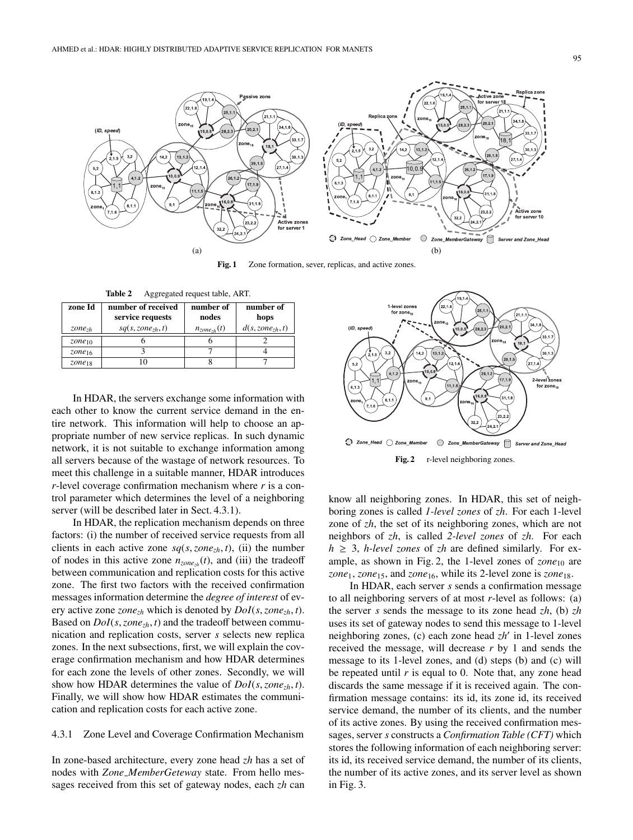

**Fig. 1** Zone formation, sever, replicas, and active zones.

**Table 2** Aggregated request table, ART.

| zone Id<br>zone <sub>7h</sub> | number of received<br>service requests<br>$sq(s, zone_{2h}, t)$ | number of<br>nodes<br>$n_{zone_{2h}}(t)$ | number of<br>hops<br>$d(s, zone_{zh}, t)$ |
|-------------------------------|-----------------------------------------------------------------|------------------------------------------|-------------------------------------------|
| $zone_{10}$                   |                                                                 |                                          |                                           |
| $zone_{16}$                   |                                                                 |                                          |                                           |
| zone <sub>18</sub>            |                                                                 |                                          |                                           |

In HDAR, the servers exchange some information with each other to know the current service demand in the entire network. This information will help to choose an appropriate number of new service replicas. In such dynamic network, it is not suitable to exchange information among all servers because of the wastage of network resources. To meet this challenge in a suitable manner, HDAR introduces *r*-level coverage confirmation mechanism where *r* is a control parameter which determines the level of a neighboring server (will be described later in Sect. 4.3.1).

In HDAR, the replication mechanism depends on three factors: (i) the number of received service requests from all clients in each active zone  $sq(s, zone_{zh}, t)$ , (ii) the number of nodes in this active zone  $n_{zone_{rh}}(t)$ , and (iii) the tradeoff between communication and replication costs for this active zone. The first two factors with the received confirmation messages information determine the *degree of interest* of every active zone *zone<sub>zh</sub>* which is denoted by  $DoI(s, zone_{zh}, t)$ . Based on  $DoI(s, zone_{zh}, t)$  and the tradeoff between communication and replication costs, server *s* selects new replica zones. In the next subsections, first, we will explain the coverage confirmation mechanism and how HDAR determines for each zone the levels of other zones. Secondly, we will show how HDAR determines the value of  $Dol(s, zone_{zh}, t)$ . Finally, we will show how HDAR estimates the communication and replication costs for each active zone.

## 4.3.1 Zone Level and Coverage Confirmation Mechanism

In zone-based architecture, every zone head *zh* has a set of nodes with *Zone MemberGeteway* state. From hello messages received from this set of gateway nodes, each *zh* can



Fig. 2 r-level neighboring zones.

know all neighboring zones. In HDAR, this set of neighboring zones is called *1-level zones* of *zh*. For each 1-level zone of *zh*, the set of its neighboring zones, which are not neighbors of *zh*, is called *2-level zones* of *zh*. For each  $h \geq 3$ , *h-level zones* of *zh* are defined similarly. For example, as shown in Fig. 2, the 1-level zones of *zone*<sub>10</sub> are *zone*1, *zone*15, and *zone*16, while its 2-level zone is *zone*18.

In HDAR, each server *s* sends a confirmation message to all neighboring servers of at most *r*-level as follows: (a) the server *s* sends the message to its zone head *zh*, (b) *zh* uses its set of gateway nodes to send this message to 1-level neighboring zones, (c) each zone head *zh* in 1-level zones received the message, will decrease *r* by 1 and sends the message to its 1-level zones, and (d) steps (b) and (c) will be repeated until  $r$  is equal to 0. Note that, any zone head discards the same message if it is received again. The confirmation message contains: its id, its zone id, its received service demand, the number of its clients, and the number of its active zones. By using the received confirmation messages, server *s* constructs a *Confirmation Table (CFT)* which stores the following information of each neighboring server: its id, its received service demand, the number of its clients, the number of its active zones, and its server level as shown in Fig. 3.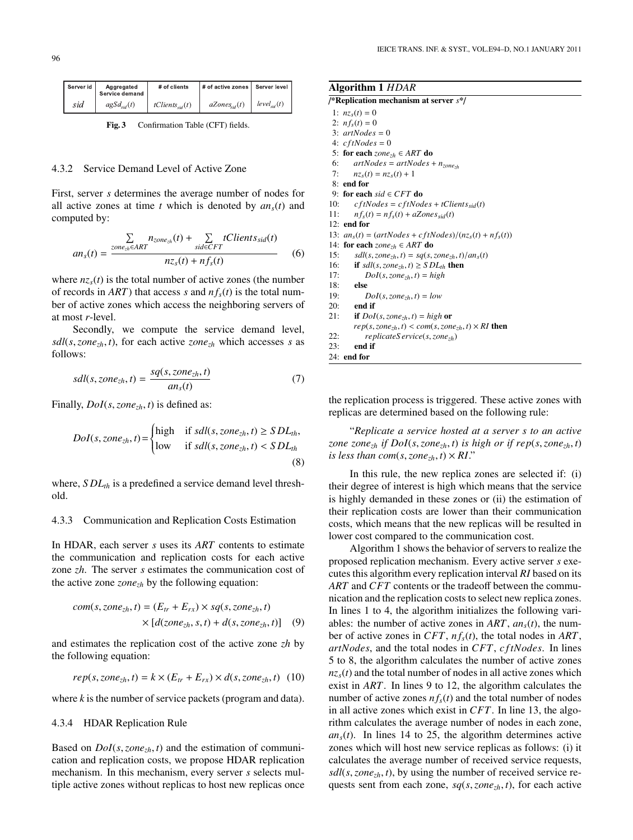| Server id | Aggregated<br>Service demand | # of clients              | # of active zones Server level |                 |
|-----------|------------------------------|---------------------------|--------------------------------|-----------------|
| sid       | $aggSd_{sid}(t)$             | $tClients_{\alpha}$ $(t)$ | $aZones_{cd}(t)$               | $level_{id}(t)$ |

**Fig. 3** Confirmation Table (CFT) fields.

#### 4.3.2 Service Demand Level of Active Zone

First, server *s* determines the average number of nodes for all active zones at time *t* which is denoted by *ans*(*t*) and computed by:

$$
an_s(t) = \frac{\sum\limits_{zone_{zh} \in ART} n_{zone_{zh}}(t) + \sum\limits_{sideCFT} tClients_{sid}(t)}{n_{z_s}(t) + nf_s(t)}
$$
(6)

where  $nz_s(t)$  is the total number of active zones (the number of records in *ART*) that access *s* and  $nf_s(t)$  is the total number of active zones which access the neighboring servers of at most *r*-level.

Secondly, we compute the service demand level,  $sdl(s, zone_{zh}, t)$ , for each active *zone<sub>zh</sub>* which accesses *s* as follows:

$$
sdl(s, zone_{zh}, t) = \frac{sq(s, zone_{zh}, t)}{an_s(t)}\tag{7}
$$

Finally,  $Dol(s, zone_{zh}, t)$  is defined as:

$$
Dol(s, zone_{zh}, t) = \begin{cases} \text{high} & \text{if } sdl(s, zone_{zh}, t) \geq SDL_{th}, \\ \text{low} & \text{if } sdl(s, zone_{zh}, t) < SDL_{th} \end{cases} \tag{8}
$$

where, *S DL<sub>th</sub>* is a predefined a service demand level threshold.

#### 4.3.3 Communication and Replication Costs Estimation

In HDAR, each server *s* uses its *ART* contents to estimate the communication and replication costs for each active zone *zh*. The server *s* estimates the communication cost of the active zone *zonezh* by the following equation:

$$
com(s, zone_{zh}, t) = (E_{tr} + E_{rx}) \times sq(s, zone_{zh}, t)
$$
  
 
$$
\times [d(zone_{zh}, s, t) + d(s, zone_{zh}, t)]
$$
 (9)

and estimates the replication cost of the active zone *zh* by the following equation:

$$
rep(s, zone_{zh}, t) = k \times (E_{tr} + E_{rx}) \times d(s, zone_{zh}, t) \quad (10)
$$

where *k* is the number of service packets (program and data).

#### 4.3.4 HDAR Replication Rule

Based on  $Dol(s, zone_{zh}, t)$  and the estimation of communication and replication costs, we propose HDAR replication mechanism. In this mechanism, every server *s* selects multiple active zones without replicas to host new replicas once

#### **Algorithm 1** *HDAR*

|                  | /*Replication mechanism at server s*/ |  |
|------------------|---------------------------------------|--|
| 1: $nz_s(t) = 0$ |                                       |  |

- 2:  $nf_s(t) = 0$
- 3: *artNodes* = 0
- 4:  $cftNodes = 0$
- 5: **for each** *zonezh* ∈ *ART* **do**
- 
- 6:  $artNodes = artNodes + n_{zone_{zh}}$ <br>7:  $nz_{e}(t) = nz_{e}(t) + 1$  $nz_s(t) = nz_s(t) + 1$
- 8: **end for**
- 9: **for each** *sid* ∈ *CFT* **do**
- 10:  $cftNodes = cftNodes + tClients_{sid}(t)$
- 11:  $nf_s(t) = nf_s(t) + aZones_{sid}(t)$
- 12: **end for**
- 13:  $an_s(t) = (artNodes + cftNodes)/(nz_s(t) + nf_s(t))$
- 14: **for each**  $zone_{zh} \in ART$  **do**
- 15:  $sdl(s, zone_{zh}, t) = sq(s, zone_{zh}, t) / an_s(t)$
- 16: **if**  $sdl(s, zone_{zh}, t) \geq SDL_{th}$  **then**<br>17:  $Dol(s, zone_{zh}, t) = hich$
- 17: *DoI*(*s*,*zonezh*, *t*) = *high*
- 18: **else**
- 19: *DoI*( $s$ , *zone*<sub>zh</sub>,  $t$ ) = *low*<br>20: **end if**
- end if 21: **if**  $Dol(s, zone_{zh}, t) = high$  or
- $rep(s, zone_{zh}, t) < com(s, zone_{zh}, t) \times RI$  then
- 22: *replicateS ervice*(*s*,*zonezh*) end if
- 24: **end for**

the replication process is triggered. These active zones with replicas are determined based on the following rule:

"*Replicate a service hosted at a server s to an active zone zonezh if DoI*(*s*,*zonezh*, *t*) *is high or if rep*(*s*,*zonezh*, *t*) *is less than com*(*s*, *zone<sub>zh</sub>*, *t*)  $\times$  *RI*."

In this rule, the new replica zones are selected if: (i) their degree of interest is high which means that the service is highly demanded in these zones or (ii) the estimation of their replication costs are lower than their communication costs, which means that the new replicas will be resulted in lower cost compared to the communication cost.

Algorithm 1 shows the behavior of servers to realize the proposed replication mechanism. Every active server *s* executes this algorithm every replication interval *RI* based on its *ART* and *CFT* contents or the tradeoff between the communication and the replication costs to select new replica zones. In lines 1 to 4, the algorithm initializes the following variables: the number of active zones in  $ART$ ,  $an<sub>s</sub>(t)$ , the number of active zones in  $CFT$ ,  $nf_s(t)$ , the total nodes in  $ART$ , *artNodes*, and the total nodes in *CFT*, *c f tNodes*. In lines 5 to 8, the algorithm calculates the number of active zones  $nz<sub>s</sub>(t)$  and the total number of nodes in all active zones which exist in *ART*. In lines 9 to 12, the algorithm calculates the number of active zones  $nf_s(t)$  and the total number of nodes in all active zones which exist in *CFT*. In line 13, the algorithm calculates the average number of nodes in each zone,  $an<sub>s</sub>(t)$ . In lines 14 to 25, the algorithm determines active zones which will host new service replicas as follows: (i) it calculates the average number of received service requests,  $sdl(s, zone<sub>zh</sub>, t)$ , by using the number of received service requests sent from each zone, *sq*(*s*,*zonezh*, *t*), for each active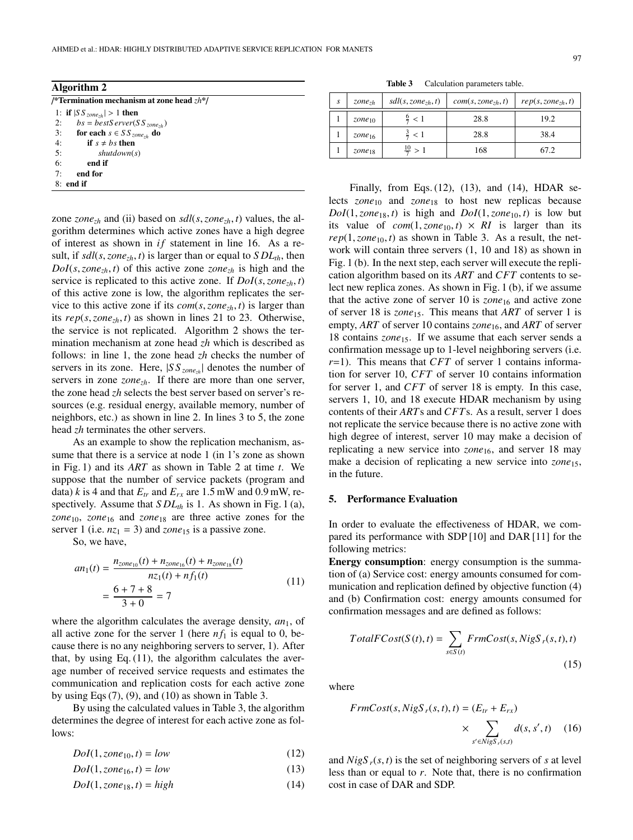zone *zone<sub>zh</sub>* and (ii) based on *sdl*(*s*, *zone<sub>zh</sub>*, *t*) values, the algorithm determines which active zones have a high degree of interest as shown in *if* statement in line 16. As a result, if  $\text{sdl}(s, \text{zone}_{\text{z}h}, t)$  is larger than or equal to  $SDL_{th}$ , then  $Dol(s, zone_{zh}, t)$  of this active zone *zone<sub>zh</sub>* is high and the service is replicated to this active zone. If  $Dol(s, zone_{zh}, t)$ of this active zone is low, the algorithm replicates the service to this active zone if its  $com(s, zone_{zh}, t)$  is larger than its  $rep(s, zone_{7h}, t)$  as shown in lines 21 to 23. Otherwise, the service is not replicated. Algorithm 2 shows the termination mechanism at zone head *zh* which is described as follows: in line 1, the zone head *zh* checks the number of servers in its zone. Here, |*S S zonezh* | denotes the number of servers in zone *zonezh*. If there are more than one server, the zone head *zh* selects the best server based on server's resources (e.g. residual energy, available memory, number of neighbors, etc.) as shown in line 2. In lines 3 to 5, the zone head *zh* terminates the other servers.

As an example to show the replication mechanism, assume that there is a service at node 1 (in 1's zone as shown in Fig. 1) and its *ART* as shown in Table 2 at time *t*. We suppose that the number of service packets (program and data) *k* is 4 and that  $E_{tr}$  and  $E_{rx}$  are 1.5 mW and 0.9 mW, respectively. Assume that *SDL<sub>th</sub>* is 1. As shown in Fig. 1 (a), *zone*10, *zone*<sup>16</sup> and *zone*<sup>18</sup> are three active zones for the server 1 (i.e.  $nz_1 = 3$ ) and *zone*<sub>15</sub> is a passive zone.

So, we have,

**Algorithm 2**

1: **if**  $|SS_{zone_{zh}}| > 1$  **then**<br>2:  $bs = bestServer(S)$ 2:  $bs = bestServer(SS_{zone_{2h}})$ <br>3: **for each**  $s \in SS_{zone}$  do 3: **for each**  $s \in SS_{zone_{2h}}$  **do**<br>4: **if**  $s \neq bs$  **then** 4: **if**  $s \neq bs$  **then** 5: *shutdown*(*s*) 6: **end if** 7: **end for** 8: **end if**

/**\*Termination mechanism at zone head** *zh***\***/

$$
an_1(t) = \frac{n_{zone_{10}}(t) + n_{zone_{16}}(t) + n_{zone_{18}}(t)}{nz_1(t) + nf_1(t)}
$$
  
= 
$$
\frac{6 + 7 + 8}{3 + 0} = 7
$$
 (11)

where the algorithm calculates the average density,  $an_1$ , of all active zone for the server 1 (here  $nf_1$  is equal to 0, because there is no any neighboring servers to server, 1). After that, by using Eq. (11), the algorithm calculates the average number of received service requests and estimates the communication and replication costs for each active zone by using Eqs  $(7)$ ,  $(9)$ , and  $(10)$  as shown in Table 3.

By using the calculated values in Table 3, the algorithm determines the degree of interest for each active zone as follows:

 $Dol(1, zone_{10}, t) = low$  (12)

$$
DoI(1, zone_{16}, t) = low
$$
\n<sup>(13)</sup>

$$
DoI(1, zone_{18}, t) = high
$$
\n(14)

**Table 3** Calculation parameters table.

| S | $zone_{2h}$        | $\textit{sdl}(s, zone_{\textit{zh}}, t)$ | $com(s, zone_{zh}, t)$ | $rep(s, zone_{zh}, t)$ |
|---|--------------------|------------------------------------------|------------------------|------------------------|
|   | $zone_{10}$        | o<br>$<$ 1                               | 28.8                   | 19.2                   |
|   | zone <sub>16</sub> | $<$ 1                                    | 28.8                   | 38.4                   |
|   | $zone_{18}$        | $\frac{10}{2}$ > 1                       | 168                    | 67.2                   |

Finally, from Eqs. (12), (13), and (14), HDAR selects *zone*<sup>10</sup> and *zone*<sup>18</sup> to host new replicas because  $Dol(1, zone_{18}, t)$  is high and  $Dol(1, zone_{10}, t)$  is low but its value of  $com(1, zone_{10}, t) \times RI$  is larger than its  $rep(1, zone_{10}, t)$  as shown in Table 3. As a result, the network will contain three servers (1, 10 and 18) as shown in Fig. 1 (b). In the next step, each server will execute the replication algorithm based on its *ART* and *CFT* contents to select new replica zones. As shown in Fig. 1 (b), if we assume that the active zone of server 10 is *zone*<sup>16</sup> and active zone of server 18 is *zone*15. This means that *ART* of server 1 is empty, *ART* of server 10 contains *zone*16, and *ART* of server 18 contains *zone*15. If we assume that each server sends a confirmation message up to 1-level neighboring servers (i.e. *r*=1). This means that *CFT* of server 1 contains information for server 10, *CFT* of server 10 contains information for server 1, and *CFT* of server 18 is empty. In this case, servers 1, 10, and 18 execute HDAR mechanism by using contents of their *ART*s and *CFT*s. As a result, server 1 does not replicate the service because there is no active zone with high degree of interest, server 10 may make a decision of replicating a new service into *zone*16, and server 18 may make a decision of replicating a new service into *zone*15, in the future.

# **5. Performance Evaluation**

In order to evaluate the effectiveness of HDAR, we compared its performance with SDP [10] and DAR [11] for the following metrics:

**Energy consumption**: energy consumption is the summation of (a) Service cost: energy amounts consumed for communication and replication defined by objective function (4) and (b) Confirmation cost: energy amounts consumed for confirmation messages and are defined as follows:

$$
TotalFCost(S(t), t) = \sum_{s \in S(t)} FrmCost(s, NigS_r(s, t), t)
$$
\n(15)

where

$$
FrmCost(s, NigSr(s, t), t) = (Etr + Erx)
$$
  
 
$$
\times \sum_{s' \in NigSr(s, t)} d(s, s', t) \quad (16)
$$

and  $NigS_r(s, t)$  is the set of neighboring servers of *s* at level less than or equal to *r*. Note that, there is no confirmation cost in case of DAR and SDP.

AHMED et al.: HDAR: HIGHLY DISTRIBUTED ADAPTIVE SERVICE REPLICATION FOR MANETS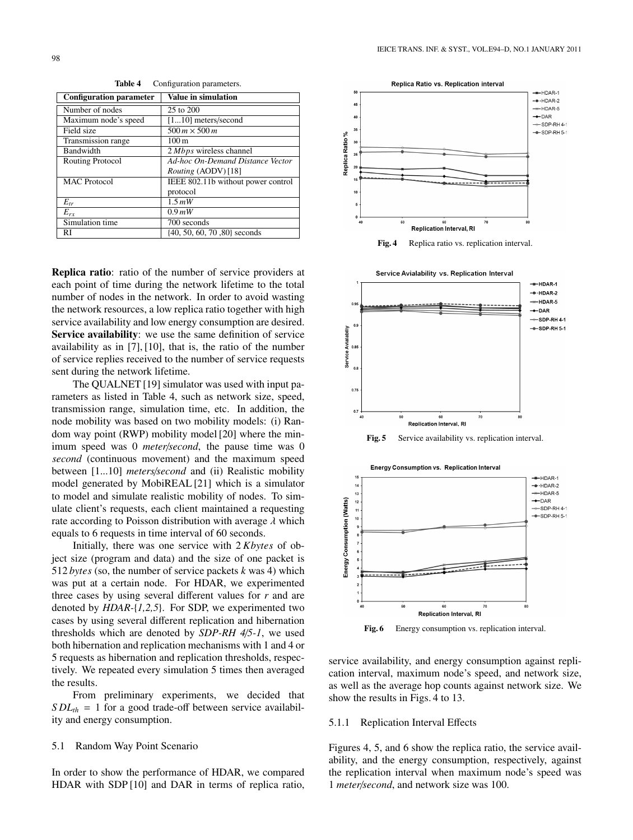| <b>Configuration parameter</b> | Value in simulation                |
|--------------------------------|------------------------------------|
| Number of nodes                | 25 to 200                          |
| Maximum node's speed           | [110] meters/second                |
| Field size                     | $500 \, m \times 500 \, m$         |
| Transmission range             | 100 <sub>m</sub>                   |
| <b>Bandwidth</b>               | 2 Mbps wireless channel            |
| Routing Protocol               | Ad-hoc On-Demand Distance Vector   |
|                                | Routing (AODV)[18]                 |
| <b>MAC</b> Protocol            | IEEE 802.11b without power control |
|                                | protocol                           |
| $E_{tr}$                       | 1.5mW                              |
| $E_{rx}$                       | $0.9 \, mW$                        |
| Simulation time                | 700 seconds                        |
| RI                             | $\{40, 50, 60, 70, 80\}$ seconds   |

**Table 4** Configuration parameters.

**Replica ratio**: ratio of the number of service providers at each point of time during the network lifetime to the total number of nodes in the network. In order to avoid wasting the network resources, a low replica ratio together with high service availability and low energy consumption are desired. **Service availability**: we use the same definition of service availability as in [7], [10], that is, the ratio of the number of service replies received to the number of service requests sent during the network lifetime.

The QUALNET [19] simulator was used with input parameters as listed in Table 4, such as network size, speed, transmission range, simulation time, etc. In addition, the node mobility was based on two mobility models: (i) Random way point (RWP) mobility model [20] where the minimum speed was 0 *meter*/*second*, the pause time was 0 *second* (continuous movement) and the maximum speed between [1...10] *meters*/*second* and (ii) Realistic mobility model generated by MobiREAL [21] which is a simulator to model and simulate realistic mobility of nodes. To simulate client's requests, each client maintained a requesting rate according to Poisson distribution with average  $\lambda$  which equals to 6 requests in time interval of 60 seconds.

Initially, there was one service with 2 *Kbytes* of object size (program and data) and the size of one packet is 512 *bytes* (so, the number of service packets *k* was 4) which was put at a certain node. For HDAR, we experimented three cases by using several different values for *r* and are denoted by *HDAR-*{*1,2,5*}. For SDP, we experimented two cases by using several different replication and hibernation thresholds which are denoted by *SDP-RH 4*/*5-1*, we used both hibernation and replication mechanisms with 1 and 4 or 5 requests as hibernation and replication thresholds, respectively. We repeated every simulation 5 times then averaged the results.

From preliminary experiments, we decided that  $S D L_{th} = 1$  for a good trade-off between service availability and energy consumption.

# 5.1 Random Way Point Scenario

In order to show the performance of HDAR, we compared HDAR with SDP [10] and DAR in terms of replica ratio,



service availability, and energy consumption against replication interval, maximum node's speed, and network size, as well as the average hop counts against network size. We show the results in Figs. 4 to 13.

# 5.1.1 Replication Interval Effects

Figures 4, 5, and 6 show the replica ratio, the service availability, and the energy consumption, respectively, against the replication interval when maximum node's speed was 1 *meter*/*second*, and network size was 100.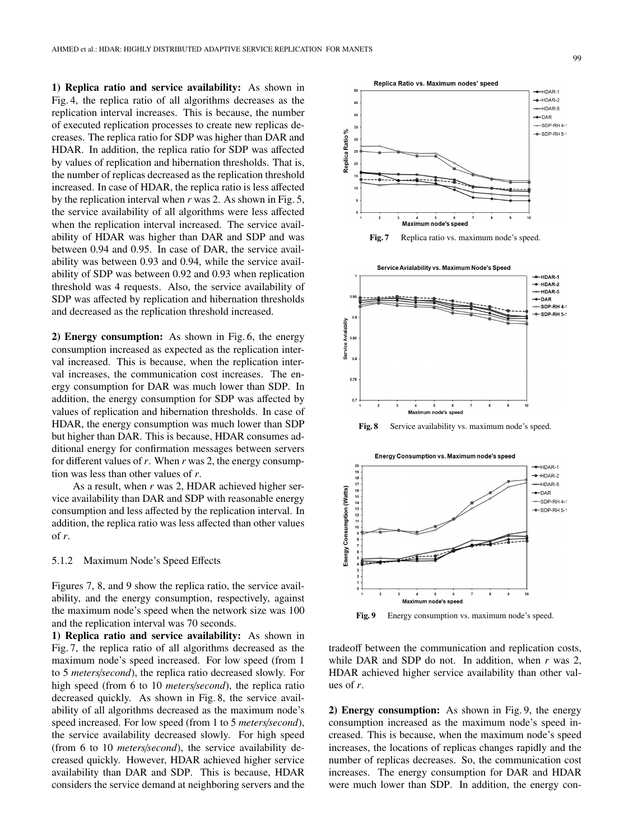**1) Replica ratio and service availability:** As shown in Fig. 4, the replica ratio of all algorithms decreases as the replication interval increases. This is because, the number of executed replication processes to create new replicas decreases. The replica ratio for SDP was higher than DAR and HDAR. In addition, the replica ratio for SDP was affected by values of replication and hibernation thresholds. That is, the number of replicas decreased as the replication threshold increased. In case of HDAR, the replica ratio is less affected by the replication interval when *r* was 2. As shown in Fig. 5, the service availability of all algorithms were less affected when the replication interval increased. The service availability of HDAR was higher than DAR and SDP and was between 0.94 and 0.95. In case of DAR, the service availability was between 0.93 and 0.94, while the service availability of SDP was between 0.92 and 0.93 when replication threshold was 4 requests. Also, the service availability of SDP was affected by replication and hibernation thresholds and decreased as the replication threshold increased.

**2) Energy consumption:** As shown in Fig. 6, the energy consumption increased as expected as the replication interval increased. This is because, when the replication interval increases, the communication cost increases. The energy consumption for DAR was much lower than SDP. In addition, the energy consumption for SDP was affected by values of replication and hibernation thresholds. In case of HDAR, the energy consumption was much lower than SDP but higher than DAR. This is because, HDAR consumes additional energy for confirmation messages between servers for different values of *r*. When *r* was 2, the energy consumption was less than other values of *r*.

As a result, when *r* was 2, HDAR achieved higher service availability than DAR and SDP with reasonable energy consumption and less affected by the replication interval. In addition, the replica ratio was less affected than other values of *r*.

## 5.1.2 Maximum Node's Speed Effects

Figures 7, 8, and 9 show the replica ratio, the service availability, and the energy consumption, respectively, against the maximum node's speed when the network size was 100 and the replication interval was 70 seconds.

**1) Replica ratio and service availability:** As shown in Fig. 7, the replica ratio of all algorithms decreased as the maximum node's speed increased. For low speed (from 1 to 5 *meters*/*second*), the replica ratio decreased slowly. For high speed (from 6 to 10 *meters*/*second*), the replica ratio decreased quickly. As shown in Fig. 8, the service availability of all algorithms decreased as the maximum node's speed increased. For low speed (from 1 to 5 *meters*/*second*), the service availability decreased slowly. For high speed (from 6 to 10 *meters*/*second*), the service availability decreased quickly. However, HDAR achieved higher service availability than DAR and SDP. This is because, HDAR considers the service demand at neighboring servers and the



**Fig. 9** Energy consumption vs. maximum node's speed.

tradeoff between the communication and replication costs, while DAR and SDP do not. In addition, when *r* was 2, HDAR achieved higher service availability than other values of *r*.

**2) Energy consumption:** As shown in Fig. 9, the energy consumption increased as the maximum node's speed increased. This is because, when the maximum node's speed increases, the locations of replicas changes rapidly and the number of replicas decreases. So, the communication cost increases. The energy consumption for DAR and HDAR were much lower than SDP. In addition, the energy con-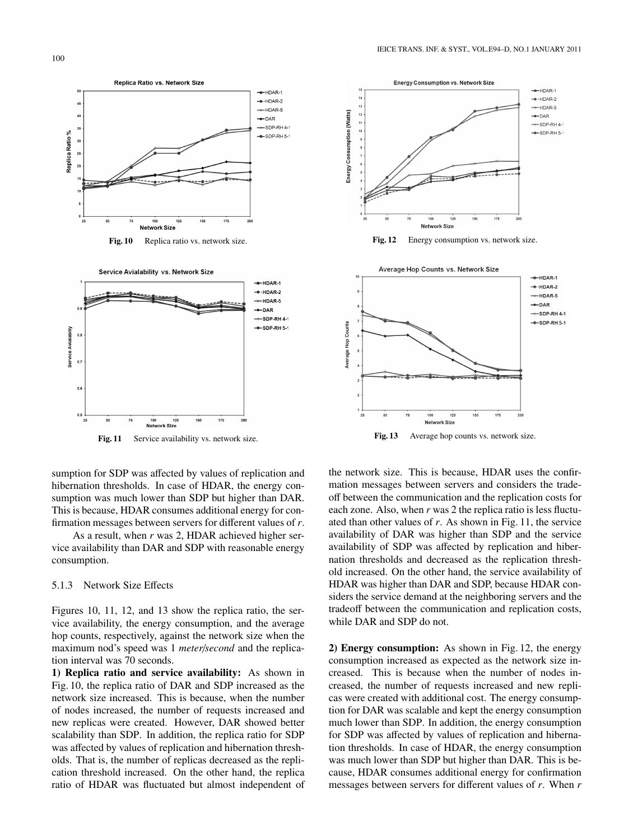

Fig. 10 Replica ratio vs. network size.



Fig. 11 Service availability vs. network size.

sumption for SDP was affected by values of replication and hibernation thresholds. In case of HDAR, the energy consumption was much lower than SDP but higher than DAR. This is because, HDAR consumes additional energy for confirmation messages between servers for different values of *r*.

As a result, when *r* was 2, HDAR achieved higher service availability than DAR and SDP with reasonable energy consumption.

## 5.1.3 Network Size Effects

Figures 10, 11, 12, and 13 show the replica ratio, the service availability, the energy consumption, and the average hop counts, respectively, against the network size when the maximum nod's speed was 1 *meter*/*second* and the replication interval was 70 seconds.

**1) Replica ratio and service availability:** As shown in Fig. 10, the replica ratio of DAR and SDP increased as the network size increased. This is because, when the number of nodes increased, the number of requests increased and new replicas were created. However, DAR showed better scalability than SDP. In addition, the replica ratio for SDP was affected by values of replication and hibernation thresholds. That is, the number of replicas decreased as the replication threshold increased. On the other hand, the replica ratio of HDAR was fluctuated but almost independent of



125 **Fig. 13** Average hop counts vs. network size.

175

100

Network Size

the network size. This is because, HDAR uses the confirmation messages between servers and considers the tradeoff between the communication and the replication costs for each zone. Also, when *r* was 2 the replica ratio is less fluctuated than other values of *r*. As shown in Fig. 11, the service availability of DAR was higher than SDP and the service availability of SDP was affected by replication and hibernation thresholds and decreased as the replication threshold increased. On the other hand, the service availability of HDAR was higher than DAR and SDP, because HDAR considers the service demand at the neighboring servers and the tradeoff between the communication and replication costs, while DAR and SDP do not.

**2) Energy consumption:** As shown in Fig. 12, the energy consumption increased as expected as the network size increased. This is because when the number of nodes increased, the number of requests increased and new replicas were created with additional cost. The energy consumption for DAR was scalable and kept the energy consumption much lower than SDP. In addition, the energy consumption for SDP was affected by values of replication and hibernation thresholds. In case of HDAR, the energy consumption was much lower than SDP but higher than DAR. This is because, HDAR consumes additional energy for confirmation messages between servers for different values of *r*. When *r*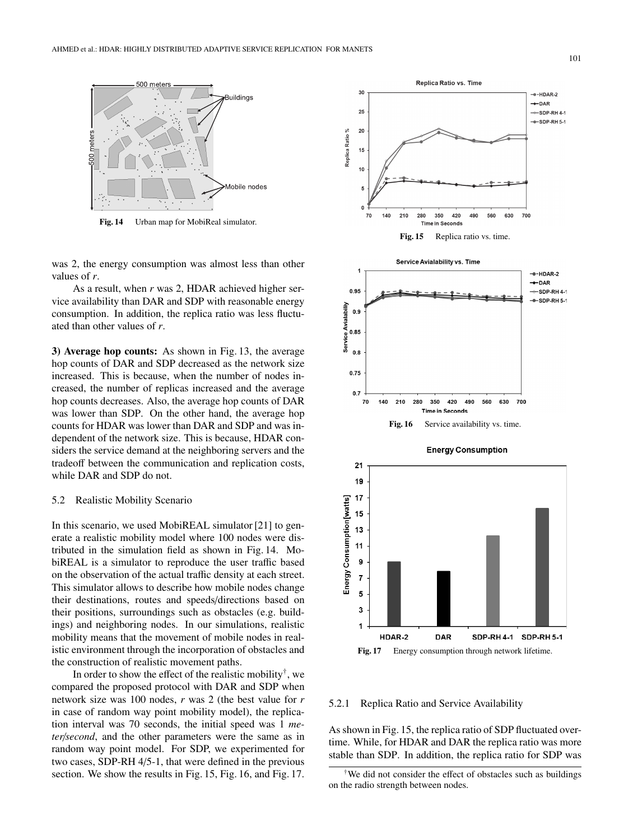

Fig. 14 Urban map for MobiReal simulator.

was 2, the energy consumption was almost less than other values of *r*.

As a result, when *r* was 2, HDAR achieved higher service availability than DAR and SDP with reasonable energy consumption. In addition, the replica ratio was less fluctuated than other values of *r*.

**3) Average hop counts:** As shown in Fig. 13, the average hop counts of DAR and SDP decreased as the network size increased. This is because, when the number of nodes increased, the number of replicas increased and the average hop counts decreases. Also, the average hop counts of DAR was lower than SDP. On the other hand, the average hop counts for HDAR was lower than DAR and SDP and was independent of the network size. This is because, HDAR considers the service demand at the neighboring servers and the tradeoff between the communication and replication costs, while DAR and SDP do not.

#### 5.2 Realistic Mobility Scenario

In this scenario, we used MobiREAL simulator [21] to generate a realistic mobility model where 100 nodes were distributed in the simulation field as shown in Fig. 14. MobiREAL is a simulator to reproduce the user traffic based on the observation of the actual traffic density at each street. This simulator allows to describe how mobile nodes change their destinations, routes and speeds/directions based on their positions, surroundings such as obstacles (e.g. buildings) and neighboring nodes. In our simulations, realistic mobility means that the movement of mobile nodes in realistic environment through the incorporation of obstacles and the construction of realistic movement paths.

In order to show the effect of the realistic mobility<sup>†</sup>, we compared the proposed protocol with DAR and SDP when network size was 100 nodes, *r* was 2 (the best value for *r* in case of random way point mobility model), the replication interval was 70 seconds, the initial speed was 1 *meter*/*second*, and the other parameters were the same as in random way point model. For SDP, we experimented for two cases, SDP-RH 4/5-1, that were defined in the previous section. We show the results in Fig. 15, Fig. 16, and Fig. 17.



#### 5.2.1 Replica Ratio and Service Availability

As shown in Fig. 15, the replica ratio of SDP fluctuated overtime. While, for HDAR and DAR the replica ratio was more stable than SDP. In addition, the replica ratio for SDP was

<sup>†</sup>We did not consider the effect of obstacles such as buildings on the radio strength between nodes.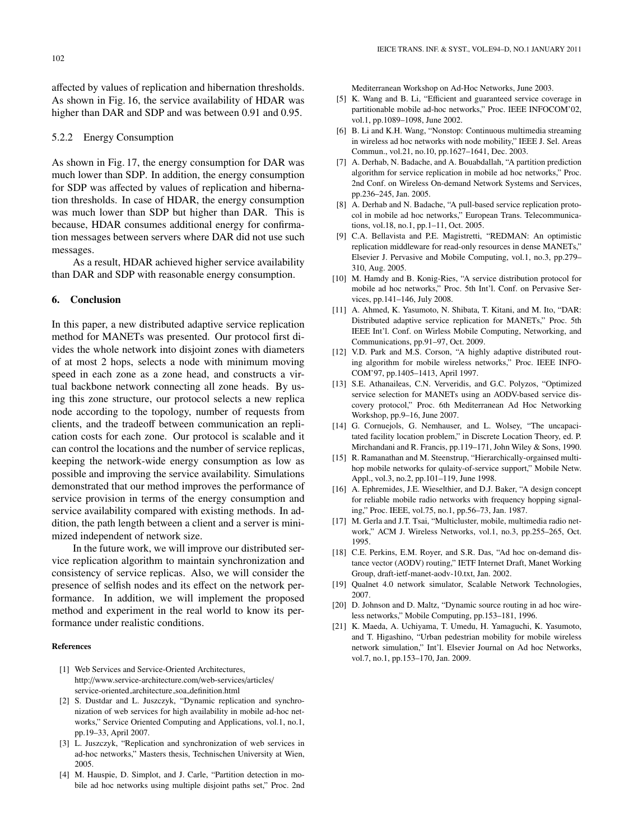affected by values of replication and hibernation thresholds. As shown in Fig. 16, the service availability of HDAR was higher than DAR and SDP and was between 0.91 and 0.95.

# 5.2.2 Energy Consumption

As shown in Fig. 17, the energy consumption for DAR was much lower than SDP. In addition, the energy consumption for SDP was affected by values of replication and hibernation thresholds. In case of HDAR, the energy consumption was much lower than SDP but higher than DAR. This is because, HDAR consumes additional energy for confirmation messages between servers where DAR did not use such messages.

As a result, HDAR achieved higher service availability than DAR and SDP with reasonable energy consumption.

## **6. Conclusion**

In this paper, a new distributed adaptive service replication method for MANETs was presented. Our protocol first divides the whole network into disjoint zones with diameters of at most 2 hops, selects a node with minimum moving speed in each zone as a zone head, and constructs a virtual backbone network connecting all zone heads. By using this zone structure, our protocol selects a new replica node according to the topology, number of requests from clients, and the tradeoff between communication an replication costs for each zone. Our protocol is scalable and it can control the locations and the number of service replicas, keeping the network-wide energy consumption as low as possible and improving the service availability. Simulations demonstrated that our method improves the performance of service provision in terms of the energy consumption and service availability compared with existing methods. In addition, the path length between a client and a server is minimized independent of network size.

In the future work, we will improve our distributed service replication algorithm to maintain synchronization and consistency of service replicas. Also, we will consider the presence of selfish nodes and its effect on the network performance. In addition, we will implement the proposed method and experiment in the real world to know its performance under realistic conditions.

#### **References**

- [1] Web Services and Service-Oriented Architectures, http://www.service-architecture.com/web-services/articles/ service-oriented architecture soa definition.html
- [2] S. Dustdar and L. Juszczyk, "Dynamic replication and synchronization of web services for high availability in mobile ad-hoc networks," Service Oriented Computing and Applications, vol.1, no.1, pp.19–33, April 2007.
- [3] L. Juszczyk, "Replication and synchronization of web services in ad-hoc networks," Masters thesis, Technischen University at Wien, 2005.
- [4] M. Hauspie, D. Simplot, and J. Carle, "Partition detection in mobile ad hoc networks using multiple disjoint paths set," Proc. 2nd

Mediterranean Workshop on Ad-Hoc Networks, June 2003.

- [5] K. Wang and B. Li, "Efficient and guaranteed service coverage in partitionable mobile ad-hoc networks," Proc. IEEE INFOCOM'02, vol.1, pp.1089–1098, June 2002.
- [6] B. Li and K.H. Wang, "Nonstop: Continuous multimedia streaming in wireless ad hoc networks with node mobility," IEEE J. Sel. Areas Commun., vol.21, no.10, pp.1627–1641, Dec. 2003.
- [7] A. Derhab, N. Badache, and A. Bouabdallah, "A partition prediction algorithm for service replication in mobile ad hoc networks," Proc. 2nd Conf. on Wireless On-demand Network Systems and Services, pp.236–245, Jan. 2005.
- [8] A. Derhab and N. Badache, "A pull-based service replication protocol in mobile ad hoc networks," European Trans. Telecommunications, vol.18, no.1, pp.1–11, Oct. 2005.
- [9] C.A. Bellavista and P.E. Magistretti, "REDMAN: An optimistic replication middleware for read-only resources in dense MANETs," Elsevier J. Pervasive and Mobile Computing, vol.1, no.3, pp.279– 310, Aug. 2005.
- [10] M. Hamdy and B. Konig-Ries, "A service distribution protocol for mobile ad hoc networks," Proc. 5th Int'l. Conf. on Pervasive Services, pp.141–146, July 2008.
- [11] A. Ahmed, K. Yasumoto, N. Shibata, T. Kitani, and M. Ito, "DAR: Distributed adaptive service replication for MANETs," Proc. 5th IEEE Int'l. Conf. on Wirless Mobile Computing, Networking, and Communications, pp.91–97, Oct. 2009.
- [12] V.D. Park and M.S. Corson, "A highly adaptive distributed routing algorithm for mobile wireless networks," Proc. IEEE INFO-COM'97, pp.1405–1413, April 1997.
- [13] S.E. Athanaileas, C.N. Ververidis, and G.C. Polyzos, "Optimized service selection for MANETs using an AODV-based service discovery protocol," Proc. 6th Mediterranean Ad Hoc Networking Workshop, pp.9–16, June 2007.
- [14] G. Cornuejols, G. Nemhauser, and L. Wolsey, "The uncapacitated facility location problem," in Discrete Location Theory, ed. P. Mirchandani and R. Francis, pp.119–171, John Wiley & Sons, 1990.
- [15] R. Ramanathan and M. Steenstrup, "Hierarchically-orgainsed multihop mobile networks for qulaity-of-service support," Mobile Netw. Appl., vol.3, no.2, pp.101–119, June 1998.
- [16] A. Ephremides, J.E. Wieselthier, and D.J. Baker, "A design concept for reliable mobile radio networks with frequency hopping signaling," Proc. IEEE, vol.75, no.1, pp.56–73, Jan. 1987.
- [17] M. Gerla and J.T. Tsai, "Multicluster, mobile, multimedia radio network," ACM J. Wireless Networks, vol.1, no.3, pp.255–265, Oct. 1995.
- [18] C.E. Perkins, E.M. Royer, and S.R. Das, "Ad hoc on-demand distance vector (AODV) routing," IETF Internet Draft, Manet Working Group, draft-ietf-manet-aodv-10.txt, Jan. 2002.
- [19] Qualnet 4.0 network simulator, Scalable Network Technologies, 2007.
- [20] D. Johnson and D. Maltz, "Dynamic source routing in ad hoc wireless networks," Mobile Computing, pp.153–181, 1996.
- [21] K. Maeda, A. Uchiyama, T. Umedu, H. Yamaguchi, K. Yasumoto, and T. Higashino, "Urban pedestrian mobility for mobile wireless network simulation," Int'l. Elsevier Journal on Ad hoc Networks, vol.7, no.1, pp.153–170, Jan. 2009.